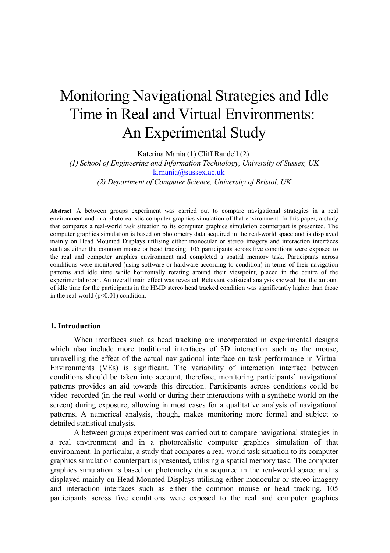# Monitoring Navigational Strategies and Idle Time in Real and Virtual Environments: An Experimental Study

Katerina Mania (1) Cliff Randell (2)

*(1) School of Engineering and Information Technology, University of Sussex, UK* [k.mania@sussex.ac.uk](mailto:k.mania@sussex.ac.uk) *(2) Department of Computer Science, University of Bristol, UK*

**Abstract**. A between groups experiment was carried out to compare navigational strategies in a real environment and in a photorealistic computer graphics simulation of that environment. In this paper, a study that compares a real-world task situation to its computer graphics simulation counterpart is presented. The computer graphics simulation is based on photometry data acquired in the real-world space and is displayed mainly on Head Mounted Displays utilising either monocular or stereo imagery and interaction interfaces such as either the common mouse or head tracking. 105 participants across five conditions were exposed to the real and computer graphics environment and completed a spatial memory task. Participants across conditions were monitored (using software or hardware according to condition) in terms of their navigation patterns and idle time while horizontally rotating around their viewpoint, placed in the centre of the experimental room. An overall main effect was revealed. Relevant statistical analysis showed that the amount of idle time for the participants in the HMD stereo head tracked condition was significantly higher than those in the real-world  $(p<0.01)$  condition.

#### **1. Introduction**

When interfaces such as head tracking are incorporated in experimental designs which also include more traditional interfaces of 3D interaction such as the mouse, unravelling the effect of the actual navigational interface on task performance in Virtual Environments (VEs) is significant. The variability of interaction interface between conditions should be taken into account, therefore, monitoring participants' navigational patterns provides an aid towards this direction. Participants across conditions could be video–recorded (in the real-world or during their interactions with a synthetic world on the screen) during exposure, allowing in most cases for a qualitative analysis of navigational patterns. A numerical analysis, though, makes monitoring more formal and subject to detailed statistical analysis.

A between groups experiment was carried out to compare navigational strategies in a real environment and in a photorealistic computer graphics simulation of that environment. In particular, a study that compares a real-world task situation to its computer graphics simulation counterpart is presented, utilising a spatial memory task. The computer graphics simulation is based on photometry data acquired in the real-world space and is displayed mainly on Head Mounted Displays utilising either monocular or stereo imagery and interaction interfaces such as either the common mouse or head tracking. 105 participants across five conditions were exposed to the real and computer graphics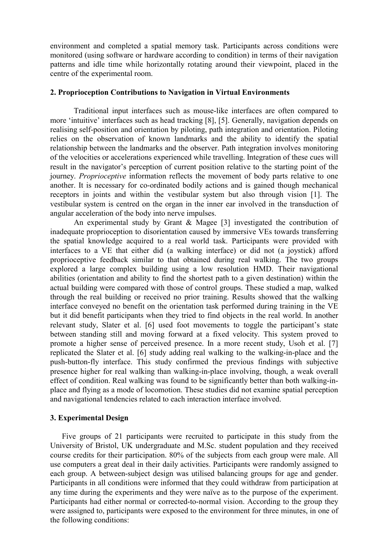environment and completed a spatial memory task. Participants across conditions were monitored (using software or hardware according to condition) in terms of their navigation patterns and idle time while horizontally rotating around their viewpoint, placed in the centre of the experimental room.

#### **2. Proprioception Contributions to Navigation in Virtual Environments**

Traditional input interfaces such as mouse-like interfaces are often compared to more 'intuitive' interfaces such as head tracking [8], [5]. Generally, navigation depends on realising self-position and orientation by piloting, path integration and orientation. Piloting relies on the observation of known landmarks and the ability to identify the spatial relationship between the landmarks and the observer. Path integration involves monitoring of the velocities or accelerations experienced while travelling. Integration of these cues will result in the navigator's perception of current position relative to the starting point of the journey. *Proprioceptive* information reflects the movement of body parts relative to one another. It is necessary for co-ordinated bodily actions and is gained though mechanical receptors in joints and within the vestibular system but also through vision [1]. The vestibular system is centred on the organ in the inner ear involved in the transduction of angular acceleration of the body into nerve impulses.

An experimental study by Grant & Magee [3] investigated the contribution of inadequate proprioception to disorientation caused by immersive VEs towards transferring the spatial knowledge acquired to a real world task. Participants were provided with interfaces to a VE that either did (a walking interface) or did not (a joystick) afford proprioceptive feedback similar to that obtained during real walking. The two groups explored a large complex building using a low resolution HMD. Their navigational abilities (orientation and ability to find the shortest path to a given destination) within the actual building were compared with those of control groups. These studied a map, walked through the real building or received no prior training. Results showed that the walking interface conveyed no benefit on the orientation task performed during training in the VE but it did benefit participants when they tried to find objects in the real world. In another relevant study, Slater et al. [6] used foot movements to toggle the participant's state between standing still and moving forward at a fixed velocity. This system proved to promote a higher sense of perceived presence. In a more recent study, Usoh et al. [7] replicated the Slater et al. [6] study adding real walking to the walking-in-place and the push-button-fly interface. This study confirmed the previous findings with subjective presence higher for real walking than walking-in-place involving, though, a weak overall effect of condition. Real walking was found to be significantly better than both walking-inplace and flying as a mode of locomotion. These studies did not examine spatial perception and navigational tendencies related to each interaction interface involved.

#### **3. Experimental Design**

Five groups of 21 participants were recruited to participate in this study from the University of Bristol, UK undergraduate and M.Sc. student population and they received course credits for their participation. 80% of the subjects from each group were male. All use computers a great deal in their daily activities. Participants were randomly assigned to each group. A between-subject design was utilised balancing groups for age and gender. Participants in all conditions were informed that they could withdraw from participation at any time during the experiments and they were naïve as to the purpose of the experiment. Participants had either normal or corrected-to-normal vision. According to the group they were assigned to, participants were exposed to the environment for three minutes, in one of the following conditions: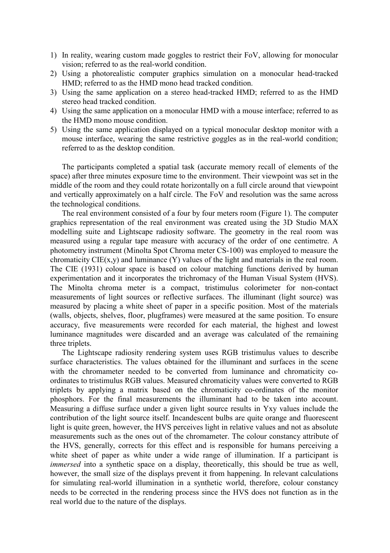- 1) In reality, wearing custom made goggles to restrict their FoV, allowing for monocular vision; referred to as the real-world condition.
- 2) Using a photorealistic computer graphics simulation on a monocular head-tracked HMD; referred to as the HMD mono head tracked condition.
- 3) Using the same application on a stereo head-tracked HMD; referred to as the HMD stereo head tracked condition.
- 4) Using the same application on a monocular HMD with a mouse interface; referred to as the HMD mono mouse condition.
- 5) Using the same application displayed on a typical monocular desktop monitor with a mouse interface, wearing the same restrictive goggles as in the real-world condition; referred to as the desktop condition.

The participants completed a spatial task (accurate memory recall of elements of the space) after three minutes exposure time to the environment. Their viewpoint was set in the middle of the room and they could rotate horizontally on a full circle around that viewpoint and vertically approximately on a half circle. The FoV and resolution was the same across the technological conditions.

The real environment consisted of a four by four meters room (Figure 1). The computer graphics representation of the real environment was created using the 3D Studio MAX modelling suite and Lightscape radiosity software. The geometry in the real room was measured using a regular tape measure with accuracy of the order of one centimetre. A photometry instrument (Minolta Spot Chroma meter CS-100) was employed to measure the chromaticity  $CIE(x, y)$  and luminance  $(Y)$  values of the light and materials in the real room. The CIE (1931) colour space is based on colour matching functions derived by human experimentation and it incorporates the trichromacy of the Human Visual System (HVS). The Minolta chroma meter is a compact, tristimulus colorimeter for non-contact measurements of light sources or reflective surfaces. The illuminant (light source) was measured by placing a white sheet of paper in a specific position. Most of the materials (walls, objects, shelves, floor, plugframes) were measured at the same position. To ensure accuracy, five measurements were recorded for each material, the highest and lowest luminance magnitudes were discarded and an average was calculated of the remaining three triplets.

The Lightscape radiosity rendering system uses RGB tristimulus values to describe surface characteristics. The values obtained for the illuminant and surfaces in the scene with the chromameter needed to be converted from luminance and chromaticity coordinates to tristimulus RGB values. Measured chromaticity values were converted to RGB triplets by applying a matrix based on the chromaticity co-ordinates of the monitor phosphors. For the final measurements the illuminant had to be taken into account. Measuring a diffuse surface under a given light source results in Yxy values include the contribution of the light source itself. Incandescent bulbs are quite orange and fluorescent light is quite green, however, the HVS perceives light in relative values and not as absolute measurements such as the ones out of the chromameter. The colour constancy attribute of the HVS, generally, corrects for this effect and is responsible for humans perceiving a white sheet of paper as white under a wide range of illumination. If a participant is *immersed* into a synthetic space on a display, theoretically, this should be true as well, however, the small size of the displays prevent it from happening. In relevant calculations for simulating real-world illumination in a synthetic world, therefore, colour constancy needs to be corrected in the rendering process since the HVS does not function as in the real world due to the nature of the displays.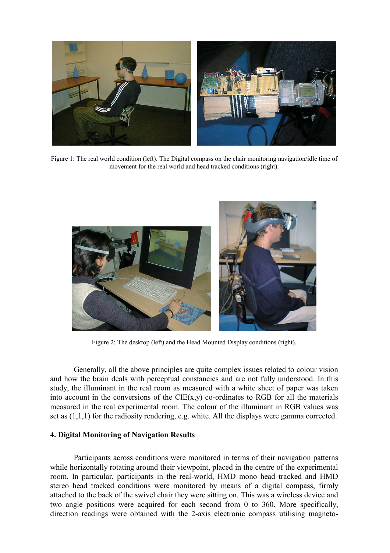

Figure 1: The real world condition (left). The Digital compass on the chair monitoring navigation/idle time of movement for the real world and head tracked conditions (right).



Figure 2: The desktop (left) and the Head Mounted Display conditions (right).

Generally, all the above principles are quite complex issues related to colour vision and how the brain deals with perceptual constancies and are not fully understood. In this study, the illuminant in the real room as measured with a white sheet of paper was taken into account in the conversions of the  $CIE(x,y)$  co-ordinates to RGB for all the materials measured in the real experimental room. The colour of the illuminant in RGB values was set as (1,1,1) for the radiosity rendering, e.g. white. All the displays were gamma corrected.

### **4. Digital Monitoring of Navigation Results**

Participants across conditions were monitored in terms of their navigation patterns while horizontally rotating around their viewpoint, placed in the centre of the experimental room. In particular, participants in the real-world, HMD mono head tracked and HMD stereo head tracked conditions were monitored by means of a digital compass, firmly attached to the back of the swivel chair they were sitting on. This was a wireless device and two angle positions were acquired for each second from 0 to 360. More specifically, direction readings were obtained with the 2-axis electronic compass utilising magneto-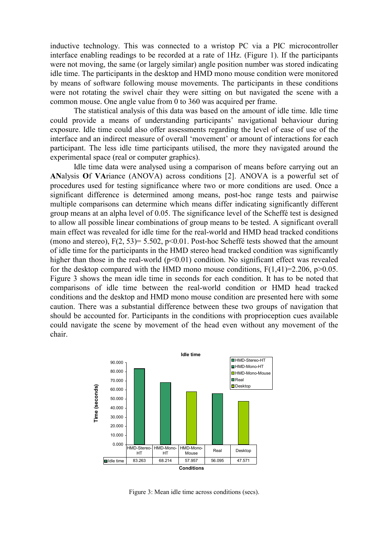inductive technology. This was connected to a wristop PC via a PIC microcontroller interface enabling readings to be recorded at a rate of 1Hz. (Figure 1). If the participants were not moving, the same (or largely similar) angle position number was stored indicating idle time. The participants in the desktop and HMD mono mouse condition were monitored by means of software following mouse movements. The participants in these conditions were not rotating the swivel chair they were sitting on but navigated the scene with a common mouse. One angle value from 0 to 360 was acquired per frame.

The statistical analysis of this data was based on the amount of idle time. Idle time could provide a means of understanding participants' navigational behaviour during exposure. Idle time could also offer assessments regarding the level of ease of use of the interface and an indirect measure of overall 'movement' or amount of interactions for each participant. The less idle time participants utilised, the more they navigated around the experimental space (real or computer graphics).

Idle time data were analysed using a comparison of means before carrying out an **AN**alysis **O**f **VA**riance (ANOVA) across conditions [2]. ANOVA is a powerful set of procedures used for testing significance where two or more conditions are used. Once a significant difference is determined among means, post-hoc range tests and pairwise multiple comparisons can determine which means differ indicating significantly different group means at an alpha level of 0.05. The significance level of the Scheffé test is designed to allow all possible linear combinations of group means to be tested. A significant overall main effect was revealed for idle time for the real-world and HMD head tracked conditions (mono and stereo),  $F(2, 53)= 5.502$ ,  $p<0.01$ . Post-hoc Scheffé tests showed that the amount of idle time for the participants in the HMD stereo head tracked condition was significantly higher than those in the real-world  $(p<0.01)$  condition. No significant effect was revealed for the desktop compared with the HMD mono mouse conditions,  $F(1,41)=2.206$ ,  $p>0.05$ . Figure 3 shows the mean idle time in seconds for each condition. It has to be noted that comparisons of idle time between the real-world condition or HMD head tracked conditions and the desktop and HMD mono mouse condition are presented here with some caution. There was a substantial difference between these two groups of navigation that should be accounted for. Participants in the conditions with proprioception cues available could navigate the scene by movement of the head even without any movement of the chair.



Figure 3: Mean idle time across conditions (secs).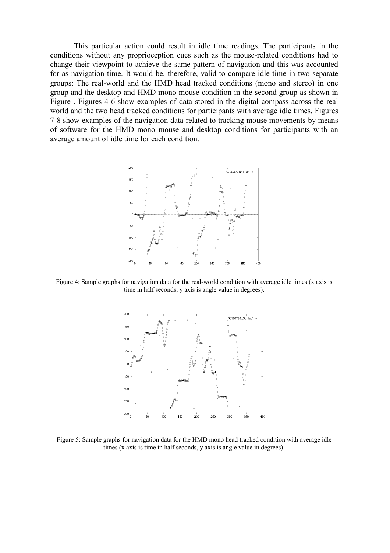This particular action could result in idle time readings. The participants in the conditions without any proprioception cues such as the mouse-related conditions had to change their viewpoint to achieve the same pattern of navigation and this was accounted for as navigation time. It would be, therefore, valid to compare idle time in two separate groups: The real-world and the HMD head tracked conditions (mono and stereo) in one group and the desktop and HMD mono mouse condition in the second group as shown in Figure . Figures 4-6 show examples of data stored in the digital compass across the real world and the two head tracked conditions for participants with average idle times. Figures 7-8 show examples of the navigation data related to tracking mouse movements by means of software for the HMD mono mouse and desktop conditions for participants with an average amount of idle time for each condition.



Figure 4: Sample graphs for navigation data for the real-world condition with average idle times (x axis is time in half seconds, y axis is angle value in degrees).



Figure 5: Sample graphs for navigation data for the HMD mono head tracked condition with average idle times (x axis is time in half seconds, y axis is angle value in degrees).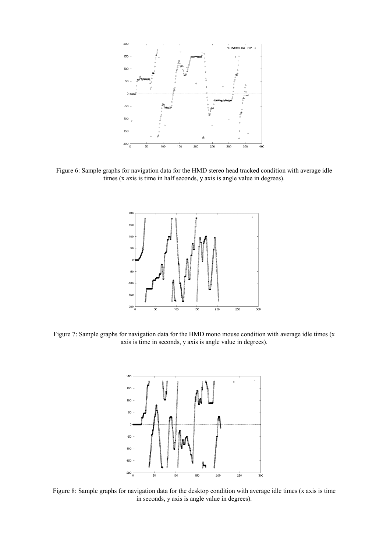

Figure 6: Sample graphs for navigation data for the HMD stereo head tracked condition with average idle times (x axis is time in half seconds, y axis is angle value in degrees).



Figure 7: Sample graphs for navigation data for the HMD mono mouse condition with average idle times (x axis is time in seconds, y axis is angle value in degrees).



Figure 8: Sample graphs for navigation data for the desktop condition with average idle times (x axis is time in seconds, y axis is angle value in degrees).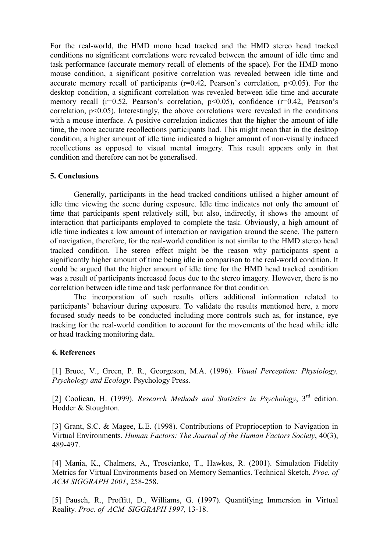For the real-world, the HMD mono head tracked and the HMD stereo head tracked conditions no significant correlations were revealed between the amount of idle time and task performance (accurate memory recall of elements of the space). For the HMD mono mouse condition, a significant positive correlation was revealed between idle time and accurate memory recall of participants ( $r=0.42$ , Pearson's correlation,  $p<0.05$ ). For the desktop condition, a significant correlation was revealed between idle time and accurate memory recall  $(r=0.52,$  Pearson's correlation,  $p<0.05$ ), confidence  $(r=0.42,$  Pearson's correlation, p<0.05). Interestingly, the above correlations were revealed in the conditions with a mouse interface. A positive correlation indicates that the higher the amount of idle time, the more accurate recollections participants had. This might mean that in the desktop condition, a higher amount of idle time indicated a higher amount of non-visually induced recollections as opposed to visual mental imagery. This result appears only in that condition and therefore can not be generalised.

## **5. Conclusions**

Generally, participants in the head tracked conditions utilised a higher amount of idle time viewing the scene during exposure. Idle time indicates not only the amount of time that participants spent relatively still, but also, indirectly, it shows the amount of interaction that participants employed to complete the task. Obviously, a high amount of idle time indicates a low amount of interaction or navigation around the scene. The pattern of navigation, therefore, for the real-world condition is not similar to the HMD stereo head tracked condition. The stereo effect might be the reason why participants spent a significantly higher amount of time being idle in comparison to the real-world condition. It could be argued that the higher amount of idle time for the HMD head tracked condition was a result of participants increased focus due to the stereo imagery. However, there is no correlation between idle time and task performance for that condition.

The incorporation of such results offers additional information related to participants' behaviour during exposure. To validate the results mentioned here, a more focused study needs to be conducted including more controls such as, for instance, eye tracking for the real-world condition to account for the movements of the head while idle or head tracking monitoring data.

## **6. References**

[1] Bruce, V., Green, P. R., Georgeson, M.A. (1996). *Visual Perception: Physiology, Psychology and Ecology*. Psychology Press.

[2] Coolican, H. (1999). *Research Methods and Statistics in Psychology*, 3rd edition. Hodder & Stoughton.

[3] Grant, S.C. & Magee, L.E. (1998). Contributions of Proprioception to Navigation in Virtual Environments. *Human Factors: The Journal of the Human Factors Society*, 40(3), 489-497.

[4] Mania, K., Chalmers, A., Troscianko, T., Hawkes, R. (2001). Simulation Fidelity Metrics for Virtual Environments based on Memory Semantics. Technical Sketch, *Proc. of ACM SIGGRAPH 2001*, 258-258.

[5] Pausch, R., Proffitt, D., Williams, G. (1997). Quantifying Immersion in Virtual Reality*. Proc. of ACM SIGGRAPH 1997,* 13-18.